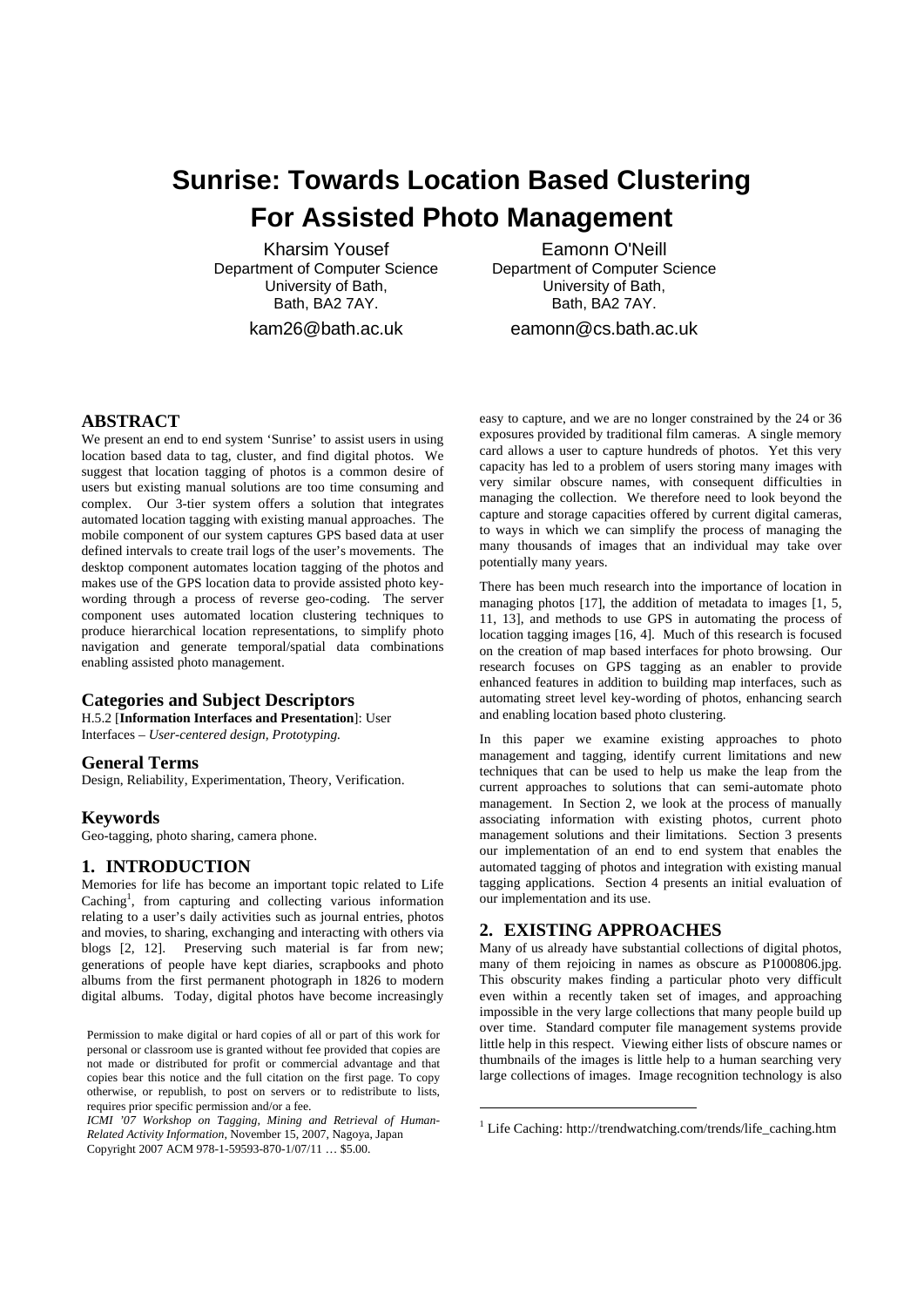# **Sunrise: Towards Location Based Clustering For Assisted Photo Management**

Kharsim Yousef Department of Computer Science University of Bath, Bath, BA2 7AY.

kam26@bath.ac.uk

Eamonn O'Neill Department of Computer Science University of Bath, Bath, BA2 7AY.

eamonn@cs.bath.ac.uk

# **ABSTRACT**

We present an end to end system 'Sunrise' to assist users in using location based data to tag, cluster, and find digital photos. We suggest that location tagging of photos is a common desire of users but existing manual solutions are too time consuming and complex. Our 3-tier system offers a solution that integrates automated location tagging with existing manual approaches. The mobile component of our system captures GPS based data at user defined intervals to create trail logs of the user's movements. The desktop component automates location tagging of the photos and makes use of the GPS location data to provide assisted photo keywording through a process of reverse geo-coding. The server component uses automated location clustering techniques to produce hierarchical location representations, to simplify photo navigation and generate temporal/spatial data combinations enabling assisted photo management.

#### **Categories and Subject Descriptors**

H.5.2 [**Information Interfaces and Presentation**]: User Interfaces – *User-centered design, Prototyping.* 

## **General Terms**

Design, Reliability, Experimentation, Theory, Verification.

#### **Keywords**

Geo-tagging, photo sharing, camera phone.

## **1. INTRODUCTION**

Memories for life has become an important topic related to Life Caching<sup>1</sup>, from capturing and collecting various information relating to a user's daily activities such as journal entries, photos and movies, to sharing, exchanging and interacting with others via blogs [2, 12]. Preserving such material is far from new; generations of people have kept diaries, scrapbooks and photo albums from the first permanent photograph in 1826 to modern digital albums. Today, digital photos have become increasingly

ICMI '07 Workshop on Tagging, Mining and Retrieval of Human-*Related Activity Information,* November 15, 2007, Nagoya, Japan Copyright 2007 ACM 978-1-59593-870-1/07/11 … \$5.00.

easy to capture, and we are no longer constrained by the 24 or 36 exposures provided by traditional film cameras. A single memory card allows a user to capture hundreds of photos. Yet this very capacity has led to a problem of users storing many images with very similar obscure names, with consequent difficulties in managing the collection. We therefore need to look beyond the capture and storage capacities offered by current digital cameras, to ways in which we can simplify the process of managing the many thousands of images that an individual may take over potentially many years. <sup>1</sup>

There has been much research into the importance of location in managing photos [17], the addition of metadata to images [1, 5, 11, 13], and methods to use GPS in automating the process of location tagging images [16, 4]. Much of this research is focused on the creation of map based interfaces for photo browsing. Our research focuses on GPS tagging as an enabler to provide enhanced features in addition to building map interfaces, such as automating street level key-wording of photos, enhancing search and enabling location based photo clustering.

In this paper we examine existing approaches to photo management and tagging, identify current limitations and new techniques that can be used to help us make the leap from the current approaches to solutions that can semi-automate photo management. In Section 2, we look at the process of manually associating information with existing photos, current photo management solutions and their limitations. Section 3 presents our implementation of an end to end system that enables the automated tagging of photos and integration with existing manual tagging applications. Section 4 presents an initial evaluation of our implementation and its use.

# **2. EXISTING APPROACHES**

1

Many of us already have substantial collections of digital photos, many of them rejoicing in names as obscure as P1000806.jpg. This obscurity makes finding a particular photo very difficult even within a recently taken set of images, and approaching impossible in the very large collections that many people build up over time. Standard computer file management systems provide little help in this respect. Viewing either lists of obscure names or thumbnails of the images is little help to a human searching very large collections of images. Image recognition technology is also

Permission to make digital or hard copies of all or part of this work for personal or classroom use is granted without fee provided that copies are not made or distributed for profit or commercial advantage and that copies bear this notice and the full citation on the first page. To copy otherwise, or republish, to post on servers or to redistribute to lists, requires prior specific permission and/or a fee.

<sup>1</sup> Life Caching: http://trendwatching.com/trends/life\_caching.htm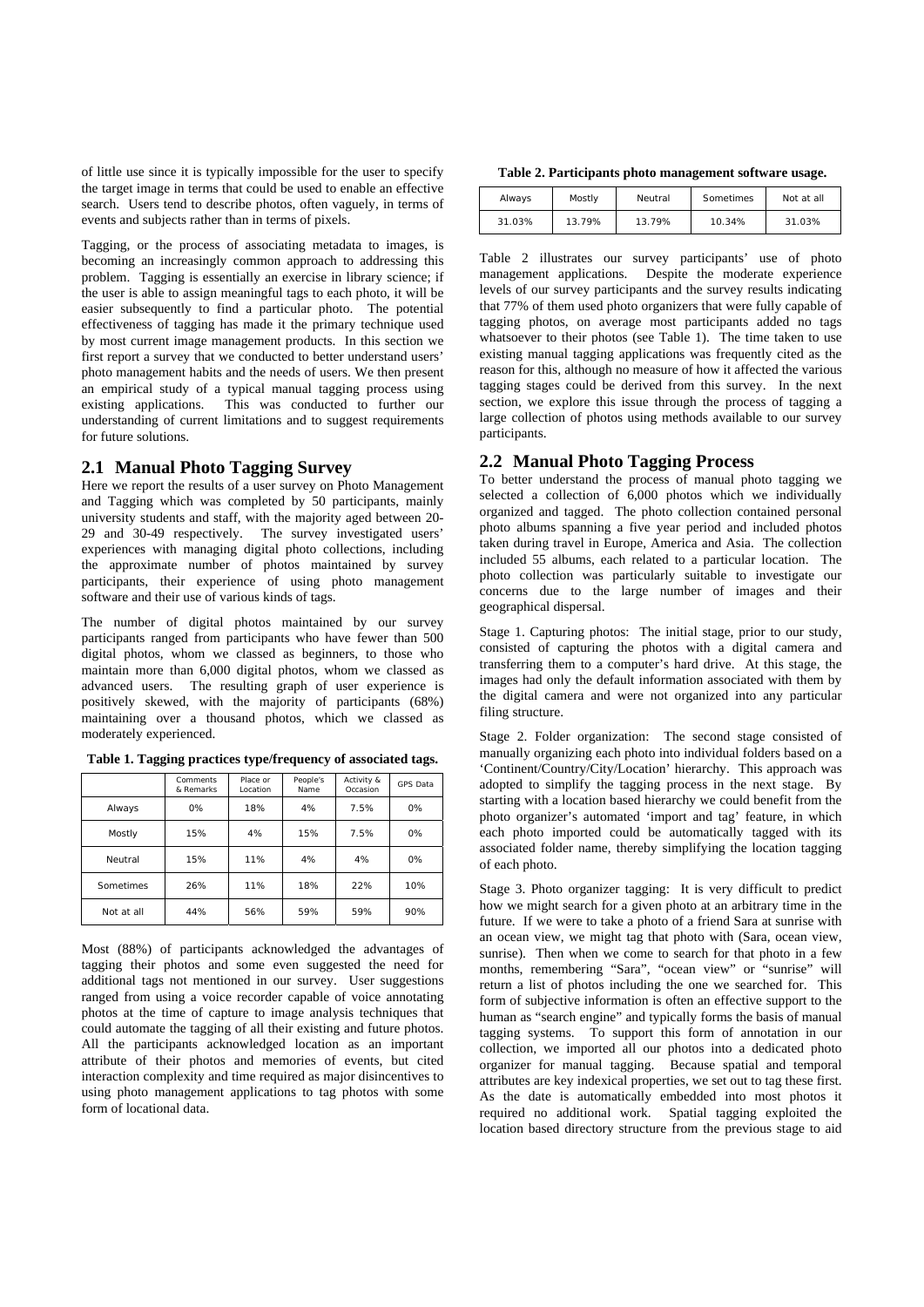of little use since it is typically impossible for the user to specify the target image in terms that could be used to enable an effective search. Users tend to describe photos, often vaguely, in terms of events and subjects rather than in terms of pixels.

Tagging, or the process of associating metadata to images, is becoming an increasingly common approach to addressing this problem. Tagging is essentially an exercise in library science; if the user is able to assign meaningful tags to each photo, it will be easier subsequently to find a particular photo. The potential effectiveness of tagging has made it the primary technique used by most current image management products. In this section we first report a survey that we conducted to better understand users' photo management habits and the needs of users. We then present an empirical study of a typical manual tagging process using existing applications. This was conducted to further our understanding of current limitations and to suggest requirements for future solutions.

#### **2.1 Manual Photo Tagging Survey**

Here we report the results of a user survey on Photo Management and Tagging which was completed by 50 participants, mainly university students and staff, with the majority aged between 20- 29 and 30-49 respectively. The survey investigated users' experiences with managing digital photo collections, including the approximate number of photos maintained by survey participants, their experience of using photo management software and their use of various kinds of tags.

The number of digital photos maintained by our survey participants ranged from participants who have fewer than 500 digital photos, whom we classed as beginners, to those who maintain more than 6,000 digital photos, whom we classed as advanced users. The resulting graph of user experience is positively skewed, with the majority of participants (68%) maintaining over a thousand photos, which we classed as moderately experienced.

|            | Comments<br>& Remarks | Place or<br>Location | People's<br>Name | Activity &<br>Occasion | <b>GPS Data</b> |
|------------|-----------------------|----------------------|------------------|------------------------|-----------------|
| Always     | 0%                    | 18%                  | 4%               | 7.5%                   | 0%              |
| Mostly     | 15%                   | 4%                   | 15%              | 7.5%                   | 0%              |
| Neutral    | 15%                   | 11%                  | 4%               | 4%                     | 0%              |
| Sometimes  | 26%                   | 11%                  | 18%              | 22%                    | 10%             |
| Not at all | 44%                   | 56%                  | 59%              | 59%                    | 90%             |

**Table 1. Tagging practices type/frequency of associated tags.** 

Most (88%) of participants acknowledged the advantages of tagging their photos and some even suggested the need for additional tags not mentioned in our survey. User suggestions ranged from using a voice recorder capable of voice annotating photos at the time of capture to image analysis techniques that could automate the tagging of all their existing and future photos. All the participants acknowledged location as an important attribute of their photos and memories of events, but cited interaction complexity and time required as major disincentives to using photo management applications to tag photos with some form of locational data.

 **Table 2. Participants photo management software usage.** 

| Always | Mostly | Neutral | Sometimes | Not at all |
|--------|--------|---------|-----------|------------|
| 31.03% | 13.79% | 13.79%  | 10.34%    | 31.03%     |

Table 2 illustrates our survey participants' use of photo management applications. Despite the moderate experience levels of our survey participants and the survey results indicating that 77% of them used photo organizers that were fully capable of tagging photos, on average most participants added no tags whatsoever to their photos (see Table 1). The time taken to use existing manual tagging applications was frequently cited as the reason for this, although no measure of how it affected the various tagging stages could be derived from this survey. In the next section, we explore this issue through the process of tagging a large collection of photos using methods available to our survey participants.

#### **2.2 Manual Photo Tagging Process**

To better understand the process of manual photo tagging we selected a collection of 6,000 photos which we individually organized and tagged. The photo collection contained personal photo albums spanning a five year period and included photos taken during travel in Europe, America and Asia. The collection included 55 albums, each related to a particular location. The photo collection was particularly suitable to investigate our concerns due to the large number of images and their geographical dispersal.

Stage 1. Capturing photos: The initial stage, prior to our study, consisted of capturing the photos with a digital camera and transferring them to a computer's hard drive. At this stage, the images had only the default information associated with them by the digital camera and were not organized into any particular filing structure.

Stage 2. Folder organization: The second stage consisted of manually organizing each photo into individual folders based on a 'Continent/Country/City/Location' hierarchy. This approach was adopted to simplify the tagging process in the next stage. By starting with a location based hierarchy we could benefit from the photo organizer's automated 'import and tag' feature, in which each photo imported could be automatically tagged with its associated folder name, thereby simplifying the location tagging of each photo.

Stage 3. Photo organizer tagging: It is very difficult to predict how we might search for a given photo at an arbitrary time in the future. If we were to take a photo of a friend Sara at sunrise with an ocean view, we might tag that photo with (Sara, ocean view, sunrise). Then when we come to search for that photo in a few months, remembering "Sara", "ocean view" or "sunrise" will return a list of photos including the one we searched for. This form of subjective information is often an effective support to the human as "search engine" and typically forms the basis of manual tagging systems. To support this form of annotation in our collection, we imported all our photos into a dedicated photo organizer for manual tagging. Because spatial and temporal attributes are key indexical properties, we set out to tag these first. As the date is automatically embedded into most photos it required no additional work. Spatial tagging exploited the location based directory structure from the previous stage to aid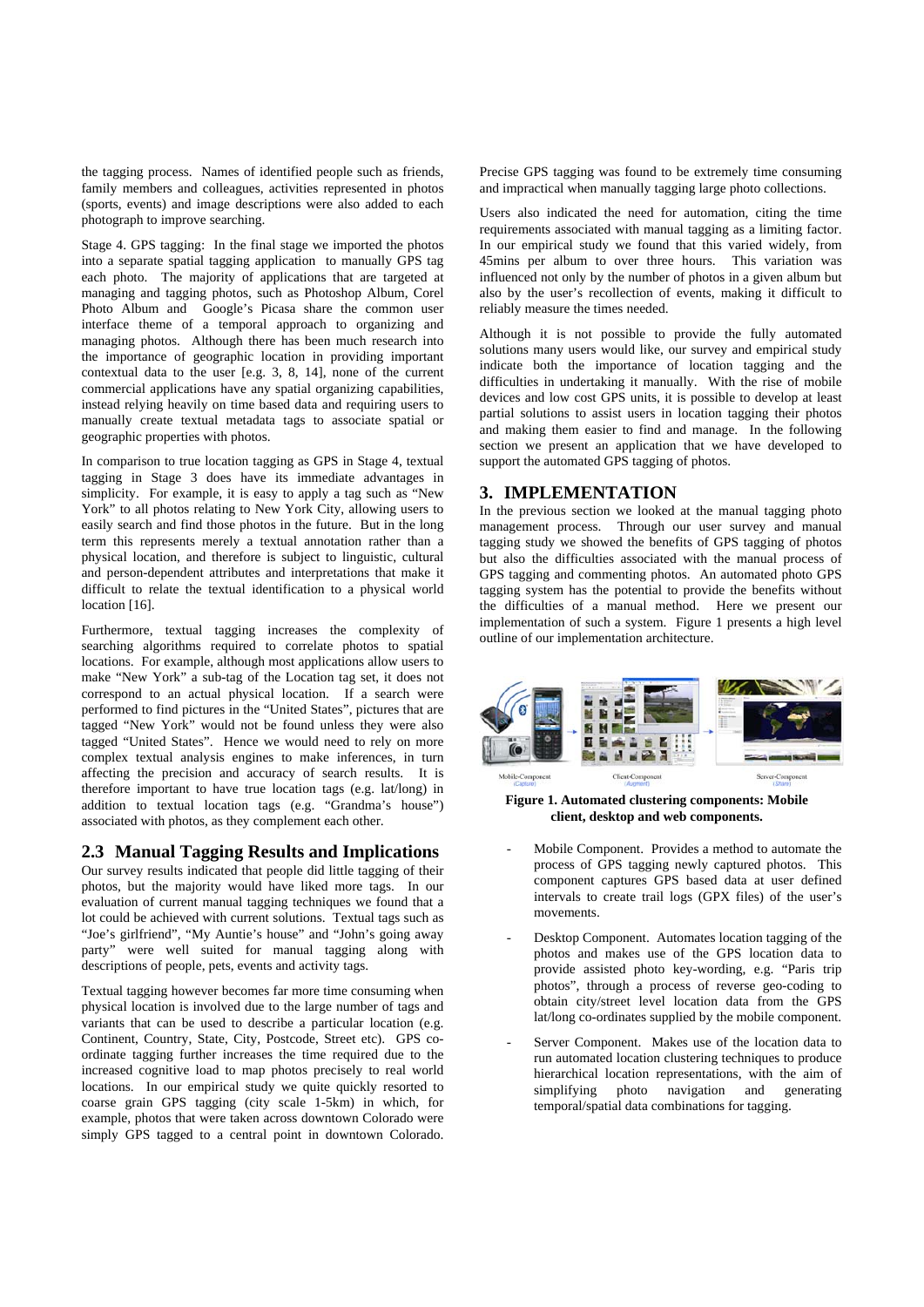the tagging process. Names of identified people such as friends, family members and colleagues, activities represented in photos (sports, events) and image descriptions were also added to each photograph to improve searching.

Stage 4. GPS tagging: In the final stage we imported the photos into a separate spatial tagging application to manually GPS tag each photo. The majority of applications that are targeted at managing and tagging photos, such as Photoshop Album, Corel Photo Album and Google's Picasa share the common user interface theme of a temporal approach to organizing and managing photos. Although there has been much research into the importance of geographic location in providing important contextual data to the user [e.g. 3, 8, 14], none of the current commercial applications have any spatial organizing capabilities, instead relying heavily on time based data and requiring users to manually create textual metadata tags to associate spatial or geographic properties with photos.

In comparison to true location tagging as GPS in Stage 4, textual tagging in Stage 3 does have its immediate advantages in simplicity. For example, it is easy to apply a tag such as "New York" to all photos relating to New York City, allowing users to easily search and find those photos in the future. But in the long term this represents merely a textual annotation rather than a physical location, and therefore is subject to linguistic, cultural and person-dependent attributes and interpretations that make it difficult to relate the textual identification to a physical world location [16].

Furthermore, textual tagging increases the complexity of searching algorithms required to correlate photos to spatial locations. For example, although most applications allow users to make "New York" a sub-tag of the Location tag set, it does not correspond to an actual physical location. If a search were performed to find pictures in the "United States", pictures that are tagged "New York" would not be found unless they were also tagged "United States". Hence we would need to rely on more complex textual analysis engines to make inferences, in turn affecting the precision and accuracy of search results. It is therefore important to have true location tags (e.g. lat/long) in addition to textual location tags (e.g. "Grandma's house") associated with photos, as they complement each other.

# **2.3 Manual Tagging Results and Implications**

Our survey results indicated that people did little tagging of their photos, but the majority would have liked more tags. In our evaluation of current manual tagging techniques we found that a lot could be achieved with current solutions. Textual tags such as "Joe's girlfriend", "My Auntie's house" and "John's going away party" were well suited for manual tagging along with descriptions of people, pets, events and activity tags.

Textual tagging however becomes far more time consuming when physical location is involved due to the large number of tags and variants that can be used to describe a particular location (e.g. Continent, Country, State, City, Postcode, Street etc). GPS coordinate tagging further increases the time required due to the increased cognitive load to map photos precisely to real world locations. In our empirical study we quite quickly resorted to coarse grain GPS tagging (city scale 1-5km) in which, for example, photos that were taken across downtown Colorado were simply GPS tagged to a central point in downtown Colorado.

Precise GPS tagging was found to be extremely time consuming and impractical when manually tagging large photo collections.

Users also indicated the need for automation, citing the time requirements associated with manual tagging as a limiting factor. In our empirical study we found that this varied widely, from 45mins per album to over three hours. This variation was influenced not only by the number of photos in a given album but also by the user's recollection of events, making it difficult to reliably measure the times needed.

Although it is not possible to provide the fully automated solutions many users would like, our survey and empirical study indicate both the importance of location tagging and the difficulties in undertaking it manually. With the rise of mobile devices and low cost GPS units, it is possible to develop at least partial solutions to assist users in location tagging their photos and making them easier to find and manage. In the following section we present an application that we have developed to support the automated GPS tagging of photos.

# **3. IMPLEMENTATION**

In the previous section we looked at the manual tagging photo management process. Through our user survey and manual tagging study we showed the benefits of GPS tagging of photos but also the difficulties associated with the manual process of GPS tagging and commenting photos. An automated photo GPS tagging system has the potential to provide the benefits without the difficulties of a manual method. Here we present our implementation of such a system. Figure 1 presents a high level outline of our implementation architecture.



**Figure 1. Automated clustering components: Mobile client, desktop and web components.** 

- Mobile Component. Provides a method to automate the process of GPS tagging newly captured photos. This component captures GPS based data at user defined intervals to create trail logs (GPX files) of the user's movements.
- Desktop Component. Automates location tagging of the photos and makes use of the GPS location data to provide assisted photo key-wording, e.g. "Paris trip photos", through a process of reverse geo-coding to obtain city/street level location data from the GPS lat/long co-ordinates supplied by the mobile component.
- Server Component. Makes use of the location data to run automated location clustering techniques to produce hierarchical location representations, with the aim of simplifying photo navigation and generating simplifying photo navigation and temporal/spatial data combinations for tagging.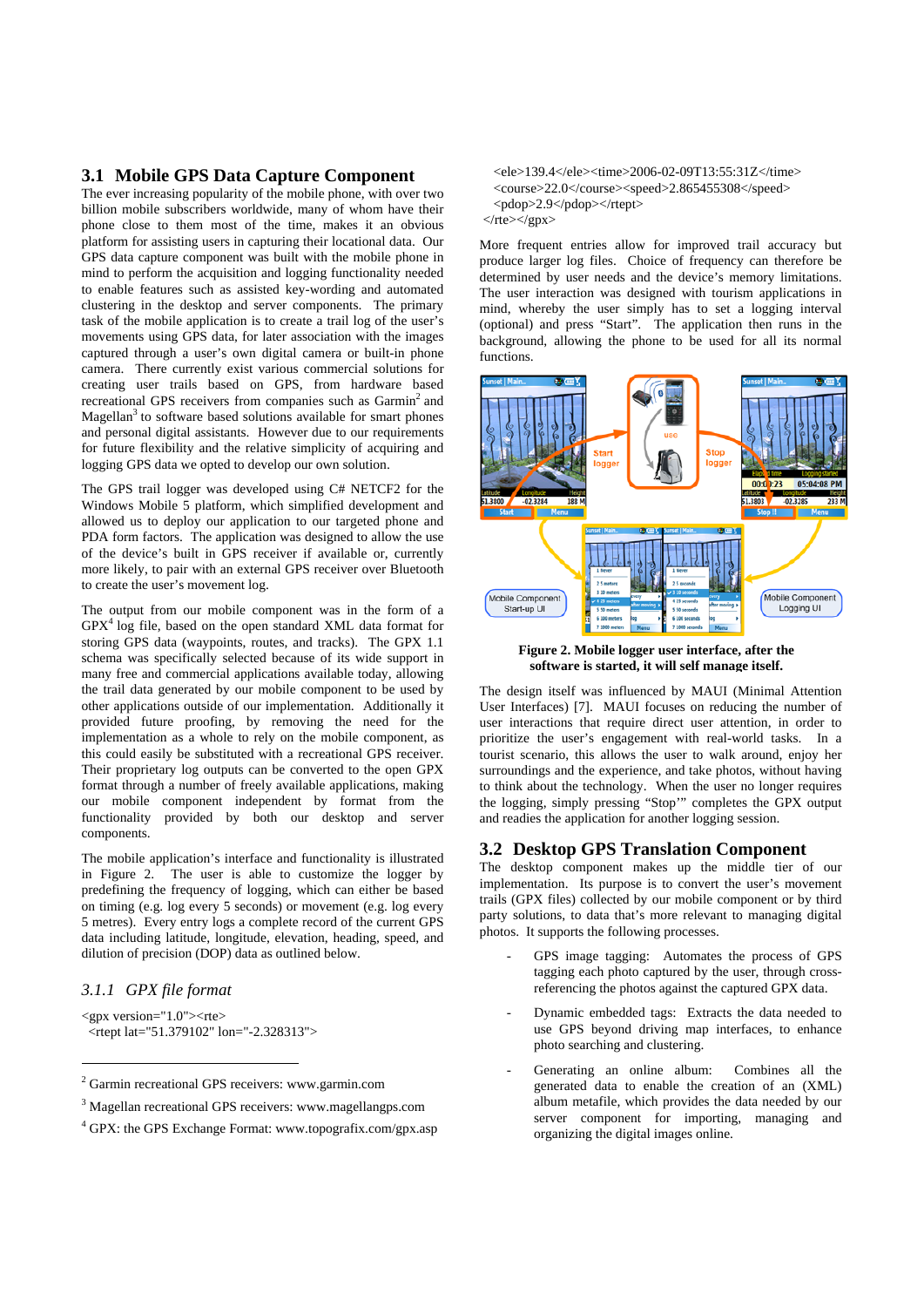## **3.1 Mobile GPS Data Capture Component**

The ever increasing popularity of the mobile phone, with over two billion mobile subscribers worldwide, many of whom have their phone close to them most of the time, makes it an obvious platform for assisting users in capturing their locational data. Our GPS data capture component was built with the mobile phone in mind to perform the acquisition and logging functionality needed to enable features such as assisted key-wording and automated clustering in the desktop and server components. The primary task of the mobile application is to create a trail log of the user's movements using GPS data, for later association with the images captured through a user's own digital camera or built-in phone camera. There currently exist various commercial solutions for creating user trails based on GPS, from hardware based recreational GPS receivers from companies such as Garmin<sup>2</sup> and Magellan<sup>3</sup> to software based solutions available for smart phones and personal digital assistants. However due to our requirements for future flexibility and the relative simplicity of acquiring and logging GPS data we opted to develop our own solution.

The GPS trail logger was developed using C# NETCF2 for the Windows Mobile 5 platform, which simplified development and allowed us to deploy our application to our targeted phone and PDA form factors. The application was designed to allow the use of the device's built in GPS receiver if available or, currently more likely, to pair with an external GPS receiver over Bluetooth to create the user's movement log.

The output from our mobile component was in the form of a  $GPX<sup>4</sup>$  log file, based on the open standard XML data format for storing GPS data (waypoints, routes, and tracks). The GPX 1.1 schema was specifically selected because of its wide support in many free and commercial applications available today, allowing the trail data generated by our mobile component to be used by other applications outside of our implementation. Additionally it provided future proofing, by removing the need for the implementation as a whole to rely on the mobile component, as this could easily be substituted with a recreational GPS receiver. Their proprietary log outputs can be converted to the open GPX format through a number of freely available applications, making our mobile component independent by format from the functionality provided by both our desktop and server components.

The mobile application's interface and functionality is illustrated in Figure 2. The user is able to customize the logger by predefining the frequency of logging, which can either be based on timing (e.g. log every 5 seconds) or movement (e.g. log every 5 metres). Every entry logs a complete record of the current GPS data including latitude, longitude, elevation, heading, speed, and dilution of precision (DOP) data as outlined below.

# *3.1.1 GPX file format*

1

<gpx version="1.0"><rte> <rtept lat="51.379102" lon="-2.328313">

 <ele>139.4</ele><time>2006-02-09T13:55:31Z</time> <course>22.0</course><speed>2.865455308</speed> <pdop>2.9</pdop></rtept>  $\langle$ rte $>\rangle$ gpx $>$ 

More frequent entries allow for improved trail accuracy but produce larger log files. Choice of frequency can therefore be determined by user needs and the device's memory limitations. The user interaction was designed with tourism applications in mind, whereby the user simply has to set a logging interval (optional) and press "Start". The application then runs in the background, allowing the phone to be used for all its normal functions.



**Figure 2. Mobile logger user interface, after the software is started, it will self manage itself.**

The design itself was influenced by MAUI (Minimal Attention User Interfaces) [7]. MAUI focuses on reducing the number of user interactions that require direct user attention, in order to prioritize the user's engagement with real-world tasks. In a tourist scenario, this allows the user to walk around, enjoy her surroundings and the experience, and take photos, without having to think about the technology. When the user no longer requires the logging, simply pressing "Stop'" completes the GPX output and readies the application for another logging session.

#### **3.2 Desktop GPS Translation Component**

The desktop component makes up the middle tier of our implementation. Its purpose is to convert the user's movement trails (GPX files) collected by our mobile component or by third party solutions, to data that's more relevant to managing digital photos. It supports the following processes.

- GPS image tagging: Automates the process of GPS tagging each photo captured by the user, through crossreferencing the photos against the captured GPX data.
- Dynamic embedded tags: Extracts the data needed to use GPS beyond driving map interfaces, to enhance photo searching and clustering.
- Generating an online album: Combines all the generated data to enable the creation of an (XML) album metafile, which provides the data needed by our server component for importing, managing and organizing the digital images online.

<sup>2</sup> Garmin recreational GPS receivers: www.garmin.com

<sup>&</sup>lt;sup>3</sup> Magellan recreational GPS receivers: www.magellangps.com

<sup>4</sup> GPX: the GPS Exchange Format: www.topografix.com/gpx.asp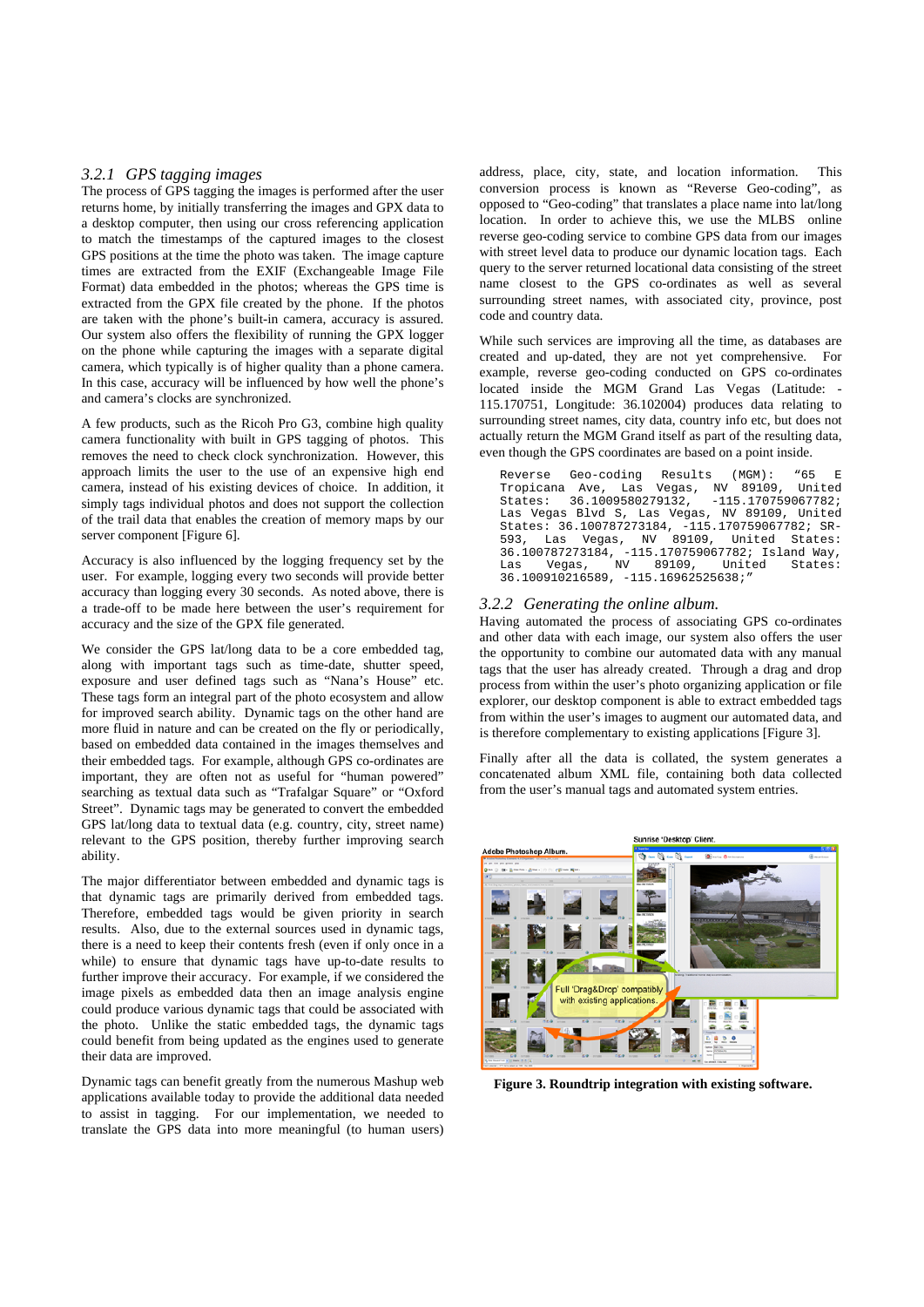#### *3.2.1 GPS tagging images*

The process of GPS tagging the images is performed after the user returns home, by initially transferring the images and GPX data to a desktop computer, then using our cross referencing application to match the timestamps of the captured images to the closest GPS positions at the time the photo was taken. The image capture times are extracted from the EXIF (Exchangeable Image File Format) data embedded in the photos; whereas the GPS time is extracted from the GPX file created by the phone. If the photos are taken with the phone's built-in camera, accuracy is assured. Our system also offers the flexibility of running the GPX logger on the phone while capturing the images with a separate digital camera, which typically is of higher quality than a phone camera. In this case, accuracy will be influenced by how well the phone's and camera's clocks are synchronized.

A few products, such as the Ricoh Pro G3, combine high quality camera functionality with built in GPS tagging of photos. This removes the need to check clock synchronization. However, this approach limits the user to the use of an expensive high end camera, instead of his existing devices of choice. In addition, it simply tags individual photos and does not support the collection of the trail data that enables the creation of memory maps by our server component [Figure 6].

Accuracy is also influenced by the logging frequency set by the user. For example, logging every two seconds will provide better accuracy than logging every 30 seconds. As noted above, there is a trade-off to be made here between the user's requirement for accuracy and the size of the GPX file generated.

We consider the GPS lat/long data to be a core embedded tag, along with important tags such as time-date, shutter speed, exposure and user defined tags such as "Nana's House" etc. These tags form an integral part of the photo ecosystem and allow for improved search ability. Dynamic tags on the other hand are more fluid in nature and can be created on the fly or periodically, based on embedded data contained in the images themselves and their embedded tags. For example, although GPS co-ordinates are important, they are often not as useful for "human powered" searching as textual data such as "Trafalgar Square" or "Oxford Street". Dynamic tags may be generated to convert the embedded GPS lat/long data to textual data (e.g. country, city, street name) relevant to the GPS position, thereby further improving search ability.

The major differentiator between embedded and dynamic tags is that dynamic tags are primarily derived from embedded tags. Therefore, embedded tags would be given priority in search results. Also, due to the external sources used in dynamic tags, there is a need to keep their contents fresh (even if only once in a while) to ensure that dynamic tags have up-to-date results to further improve their accuracy. For example, if we considered the image pixels as embedded data then an image analysis engine could produce various dynamic tags that could be associated with the photo. Unlike the static embedded tags, the dynamic tags could benefit from being updated as the engines used to generate their data are improved.

Dynamic tags can benefit greatly from the numerous Mashup web applications available today to provide the additional data needed to assist in tagging. For our implementation, we needed to translate the GPS data into more meaningful (to human users)

address, place, city, state, and location information. This conversion process is known as "Reverse Geo-coding", as opposed to "Geo-coding" that translates a place name into lat/long location. In order to achieve this, we use the MLBS online reverse geo-coding service to combine GPS data from our images with street level data to produce our dynamic location tags. Each query to the server returned locational data consisting of the street name closest to the GPS co-ordinates as well as several surrounding street names, with associated city, province, post code and country data.

While such services are improving all the time, as databases are created and up-dated, they are not yet comprehensive. For example, reverse geo-coding conducted on GPS co-ordinates located inside the MGM Grand Las Vegas (Latitude: - 115.170751, Longitude: 36.102004) produces data relating to surrounding street names, city data, country info etc, but does not actually return the MGM Grand itself as part of the resulting data, even though the GPS coordinates are based on a point inside.

Reverse Geo-coding Results (MGM): "65 E Tropicana Ave, Las Vegas, NV 89109, United States: 36.1009580279132, -115.170759067782; Las Vegas Blvd S, Las Vegas, NV 89109, United States: 36.100787273184, -115.170759067782; SR-Las Vegas, NV 89109, 36.100787273184, -115.170759067782; Island Way, Las Vegas, NV 89109, United States: 36.100910216589, -115.16962525638;"

#### *3.2.2 Generating the online album.*

Having automated the process of associating GPS co-ordinates and other data with each image, our system also offers the user the opportunity to combine our automated data with any manual tags that the user has already created. Through a drag and drop process from within the user's photo organizing application or file explorer, our desktop component is able to extract embedded tags from within the user's images to augment our automated data, and is therefore complementary to existing applications [Figure 3].

Finally after all the data is collated, the system generates a concatenated album XML file, containing both data collected from the user's manual tags and automated system entries.



**Figure 3. Roundtrip integration with existing software.**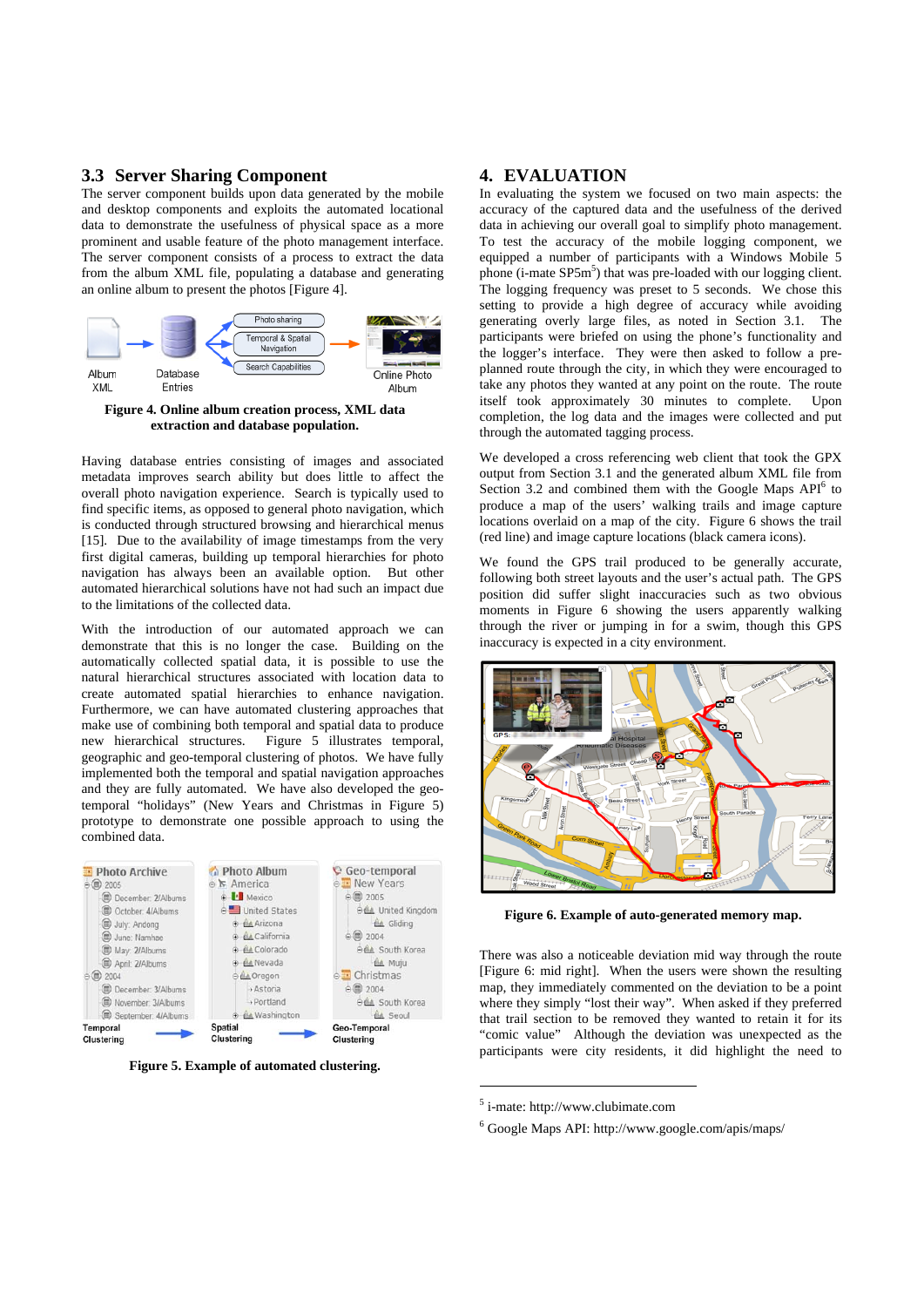## **3.3 Server Sharing Component**

The server component builds upon data generated by the mobile and desktop components and exploits the automated locational data to demonstrate the usefulness of physical space as a more prominent and usable feature of the photo management interface. The server component consists of a process to extract the data from the album XML file, populating a database and generating an online album to present the photos [Figure 4].



**Figure 4. Online album creation process, XML data extraction and database population.** 

Having database entries consisting of images and associated metadata improves search ability but does little to affect the overall photo navigation experience. Search is typically used to find specific items, as opposed to general photo navigation, which is conducted through structured browsing and hierarchical menus [15]. Due to the availability of image timestamps from the very first digital cameras, building up temporal hierarchies for photo navigation has always been an available option. But other automated hierarchical solutions have not had such an impact due to the limitations of the collected data.

With the introduction of our automated approach we can demonstrate that this is no longer the case. Building on the automatically collected spatial data, it is possible to use the natural hierarchical structures associated with location data to create automated spatial hierarchies to enhance navigation. Furthermore, we can have automated clustering approaches that make use of combining both temporal and spatial data to produce new hierarchical structures. Figure 5 illustrates temporal, geographic and geo-temporal clustering of photos. We have fully implemented both the temporal and spatial navigation approaches and they are fully automated. We have also developed the geotemporal "holidays" (New Years and Christmas in Figure 5) prototype to demonstrate one possible approach to using the combined data.



**Figure 5. Example of automated clustering.** 

# **4. EVALUATION**

In evaluating the system we focused on two main aspects: the accuracy of the captured data and the usefulness of the derived data in achieving our overall goal to simplify photo management. To test the accuracy of the mobile logging component, we equipped a number of participants with a Windows Mobile 5 phone (i-mate SP5m<sup>5</sup>) that was pre-loaded with our logging client. The logging frequency was preset to 5 seconds. We chose this setting to provide a high degree of accuracy while avoiding generating overly large files, as noted in Section 3.1. The participants were briefed on using the phone's functionality and the logger's interface. They were then asked to follow a preplanned route through the city, in which they were encouraged to take any photos they wanted at any point on the route. The route itself took approximately 30 minutes to complete. Upon completion, the log data and the images were collected and put through the automated tagging process.

We developed a cross referencing web client that took the GPX output from Section 3.1 and the generated album XML file from Section 3.2 and combined them with the Google Maps  $API<sup>6</sup>$  to produce a map of the users' walking trails and image capture locations overlaid on a map of the city. Figure 6 shows the trail (red line) and image capture locations (black camera icons).

We found the GPS trail produced to be generally accurate, following both street layouts and the user's actual path. The GPS position did suffer slight inaccuracies such as two obvious moments in Figure 6 showing the users apparently walking through the river or jumping in for a swim, though this GPS inaccuracy is expected in a city environment.



**Figure 6. Example of auto-generated memory map.** 

There was also a noticeable deviation mid way through the route [Figure 6: mid right]. When the users were shown the resulting map, they immediately commented on the deviation to be a point where they simply "lost their way". When asked if they preferred that trail section to be removed they wanted to retain it for its "comic value" Although the deviation was unexpected as the participants were city residents, it did highlight the need to

<u>.</u>

<sup>5</sup> i-mate: http://www.clubimate.com

<sup>6</sup> Google Maps API: http://www.google.com/apis/maps/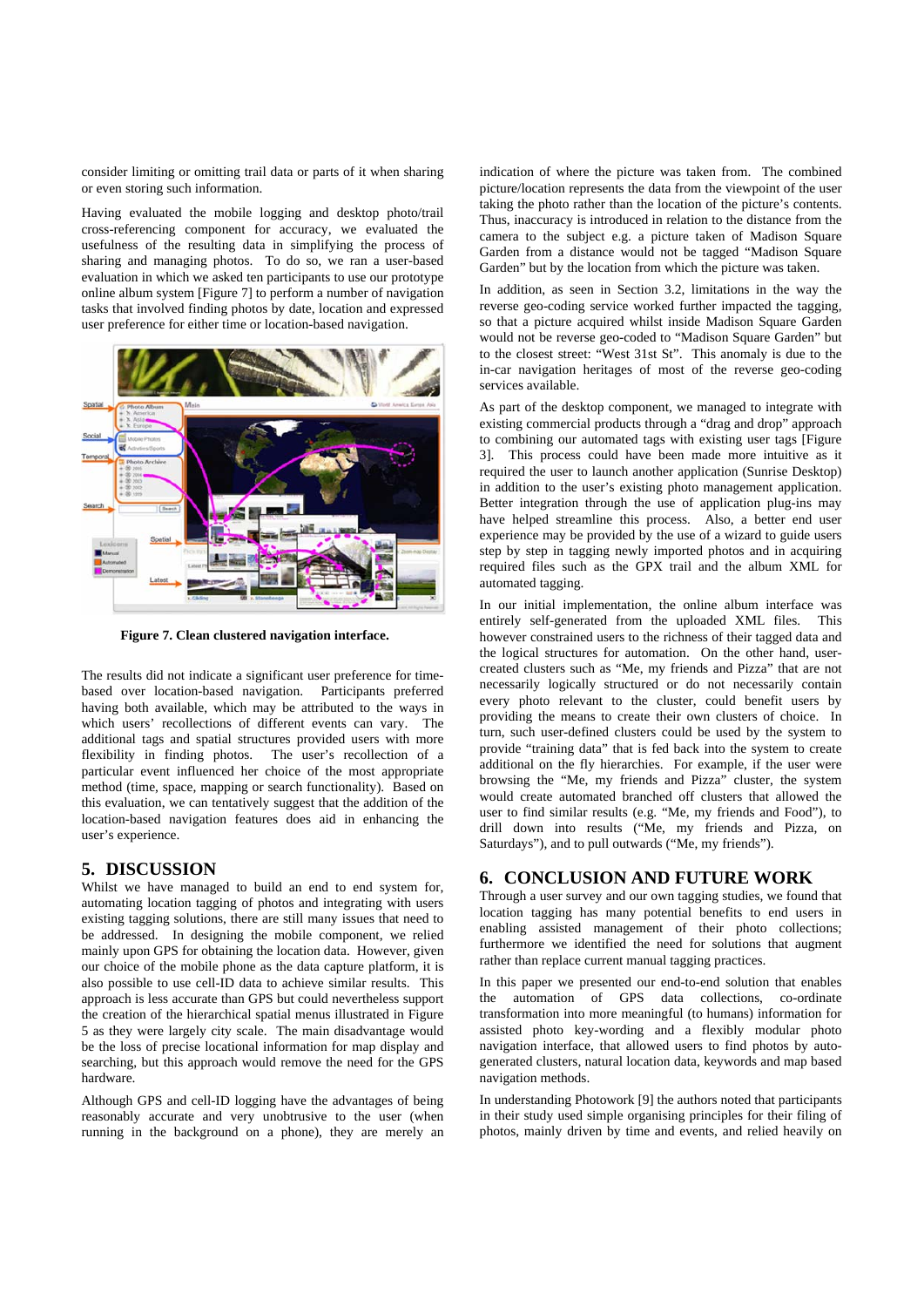consider limiting or omitting trail data or parts of it when sharing or even storing such information.

Having evaluated the mobile logging and desktop photo/trail cross-referencing component for accuracy, we evaluated the usefulness of the resulting data in simplifying the process of sharing and managing photos. To do so, we ran a user-based evaluation in which we asked ten participants to use our prototype online album system [Figure 7] to perform a number of navigation tasks that involved finding photos by date, location and expressed user preference for either time or location-based navigation.



**Figure 7. Clean clustered navigation interface.** 

The results did not indicate a significant user preference for timebased over location-based navigation. Participants preferred having both available, which may be attributed to the ways in which users' recollections of different events can vary. The additional tags and spatial structures provided users with more flexibility in finding photos. The user's recollection of a particular event influenced her choice of the most appropriate method (time, space, mapping or search functionality). Based on this evaluation, we can tentatively suggest that the addition of the location-based navigation features does aid in enhancing the user's experience.

## **5. DISCUSSION**

Whilst we have managed to build an end to end system for, automating location tagging of photos and integrating with users existing tagging solutions, there are still many issues that need to be addressed. In designing the mobile component, we relied mainly upon GPS for obtaining the location data. However, given our choice of the mobile phone as the data capture platform, it is also possible to use cell-ID data to achieve similar results. This approach is less accurate than GPS but could nevertheless support the creation of the hierarchical spatial menus illustrated in Figure 5 as they were largely city scale. The main disadvantage would be the loss of precise locational information for map display and searching, but this approach would remove the need for the GPS hardware.

Although GPS and cell-ID logging have the advantages of being reasonably accurate and very unobtrusive to the user (when running in the background on a phone), they are merely an indication of where the picture was taken from. The combined picture/location represents the data from the viewpoint of the user taking the photo rather than the location of the picture's contents. Thus, inaccuracy is introduced in relation to the distance from the camera to the subject e.g. a picture taken of Madison Square Garden from a distance would not be tagged "Madison Square Garden" but by the location from which the picture was taken.

In addition, as seen in Section 3.2, limitations in the way the reverse geo-coding service worked further impacted the tagging, so that a picture acquired whilst inside Madison Square Garden would not be reverse geo-coded to "Madison Square Garden" but to the closest street: "West 31st St". This anomaly is due to the in-car navigation heritages of most of the reverse geo-coding services available.

As part of the desktop component, we managed to integrate with existing commercial products through a "drag and drop" approach to combining our automated tags with existing user tags [Figure 3]. This process could have been made more intuitive as it required the user to launch another application (Sunrise Desktop) in addition to the user's existing photo management application. Better integration through the use of application plug-ins may have helped streamline this process. Also, a better end user experience may be provided by the use of a wizard to guide users step by step in tagging newly imported photos and in acquiring required files such as the GPX trail and the album XML for automated tagging.

In our initial implementation, the online album interface was entirely self-generated from the uploaded XML files. This however constrained users to the richness of their tagged data and the logical structures for automation. On the other hand, usercreated clusters such as "Me, my friends and Pizza" that are not necessarily logically structured or do not necessarily contain every photo relevant to the cluster, could benefit users by providing the means to create their own clusters of choice. In turn, such user-defined clusters could be used by the system to provide "training data" that is fed back into the system to create additional on the fly hierarchies. For example, if the user were browsing the "Me, my friends and Pizza" cluster, the system would create automated branched off clusters that allowed the user to find similar results (e.g. "Me, my friends and Food"), to drill down into results ("Me, my friends and Pizza, on Saturdays"), and to pull outwards ("Me, my friends").

## **6. CONCLUSION AND FUTURE WORK**

Through a user survey and our own tagging studies, we found that location tagging has many potential benefits to end users in enabling assisted management of their photo collections; furthermore we identified the need for solutions that augment rather than replace current manual tagging practices.

In this paper we presented our end-to-end solution that enables the automation of GPS data collections, co-ordinate transformation into more meaningful (to humans) information for assisted photo key-wording and a flexibly modular photo navigation interface, that allowed users to find photos by autogenerated clusters, natural location data, keywords and map based navigation methods.

In understanding Photowork [9] the authors noted that participants in their study used simple organising principles for their filing of photos, mainly driven by time and events, and relied heavily on